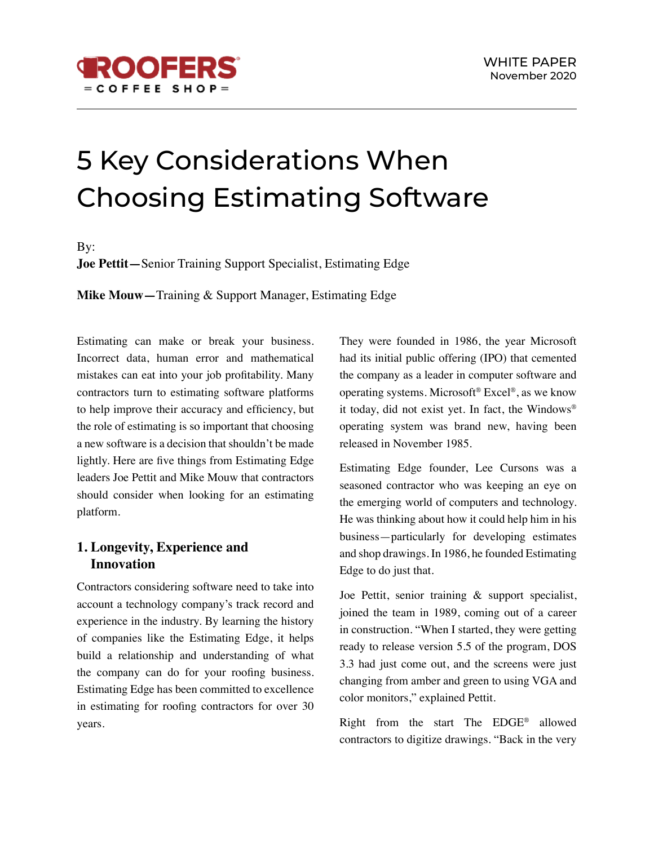# 5 Key Considerations When Choosing Estimating Software

By:

**Joe Pettit—**Senior Training Support Specialist, Estimating Edge

**Mike Mouw—**Training & Support Manager, Estimating Edge

Estimating can make or break your business. Incorrect data, human error and mathematical mistakes can eat into your job profitability. Many contractors turn to estimating software platforms to help improve their accuracy and efficiency, but the role of estimating is so important that choosing a new software is a decision that shouldn't be made lightly. Here are five things from Estimating Edge leaders Joe Pettit and Mike Mouw that contractors should consider when looking for an estimating platform.

# **1. Longevity, Experience and Innovation**

Contractors considering software need to take into account a technology company's track record and experience in the industry. By learning the history of companies like the Estimating Edge, it helps build a relationship and understanding of what the company can do for your roofing business. Estimating Edge has been committed to excellence in estimating for roofing contractors for over 30 years.

They were founded in 1986, the year Microsoft had its initial public offering (IPO) that cemented the company as a leader in computer software and operating systems. Microsoft® Excel®, as we know it today, did not exist yet. In fact, the Windows® operating system was brand new, having been released in November 1985.

Estimating Edge founder, Lee Cursons was a seasoned contractor who was keeping an eye on the emerging world of computers and technology. He was thinking about how it could help him in his business—particularly for developing estimates and shop drawings. In 1986, he founded Estimating Edge to do just that.

Joe Pettit, senior training & support specialist, joined the team in 1989, coming out of a career in construction. "When I started, they were getting ready to release version 5.5 of the program, DOS 3.3 had just come out, and the screens were just changing from amber and green to using VGA and color monitors," explained Pettit.

Right from the start The EDGE® allowed contractors to digitize drawings. "Back in the very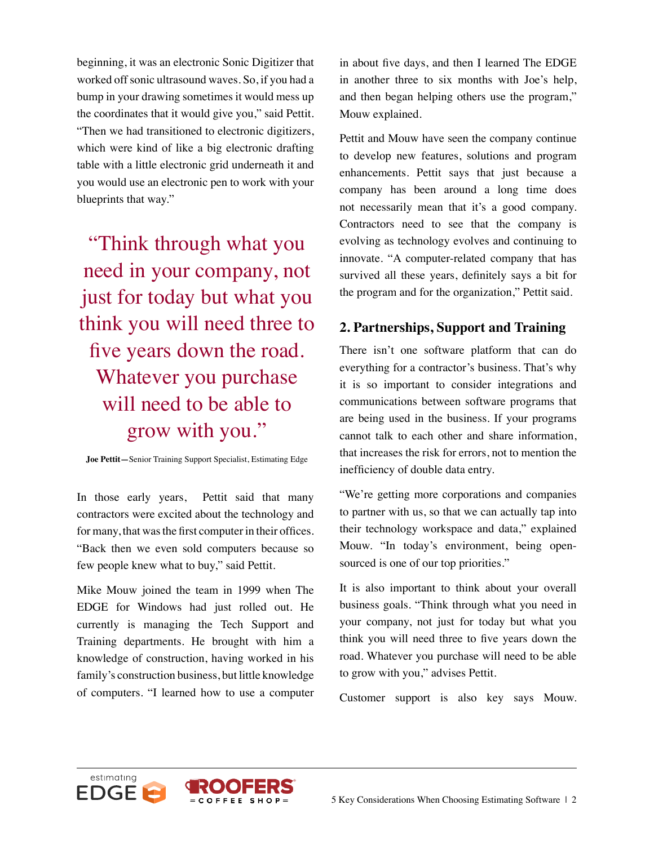beginning, it was an electronic Sonic Digitizer that worked off sonic ultrasound waves. So, if you had a bump in your drawing sometimes it would mess up the coordinates that it would give you," said Pettit. "Then we had transitioned to electronic digitizers, which were kind of like a big electronic drafting table with a little electronic grid underneath it and you would use an electronic pen to work with your blueprints that way."

"Think through what you need in your company, not just for today but what you think you will need three to five years down the road. Whatever you purchase will need to be able to grow with you."

**Joe Pettit—**Senior Training Support Specialist, Estimating Edge

In those early years, Pettit said that many contractors were excited about the technology and for many, that was the first computer in their offices. "Back then we even sold computers because so few people knew what to buy," said Pettit.

Mike Mouw joined the team in 1999 when The EDGE for Windows had just rolled out. He currently is managing the Tech Support and Training departments. He brought with him a knowledge of construction, having worked in his family's construction business, but little knowledge of computers. "I learned how to use a computer in about five days, and then I learned The EDGE in another three to six months with Joe's help, and then began helping others use the program," Mouw explained.

Pettit and Mouw have seen the company continue to develop new features, solutions and program enhancements. Pettit says that just because a company has been around a long time does not necessarily mean that it's a good company. Contractors need to see that the company is evolving as technology evolves and continuing to innovate. "A computer-related company that has survived all these years, definitely says a bit for the program and for the organization," Pettit said.

# **2. Partnerships, Support and Training**

There isn't one software platform that can do everything for a contractor's business. That's why it is so important to consider integrations and communications between software programs that are being used in the business. If your programs cannot talk to each other and share information, that increases the risk for errors, not to mention the inefficiency of double data entry.

"We're getting more corporations and companies to partner with us, so that we can actually tap into their technology workspace and data," explained Mouw. "In today's environment, being opensourced is one of our top priorities."

It is also important to think about your overall business goals. "Think through what you need in your company, not just for today but what you think you will need three to five years down the road. Whatever you purchase will need to be able to grow with you," advises Pettit.

Customer support is also key says Mouw.

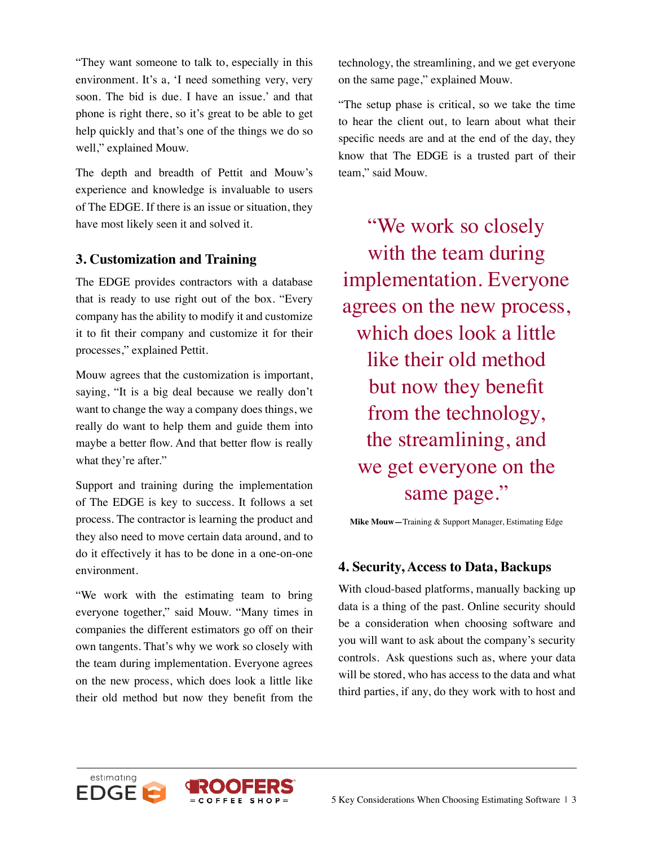"They want someone to talk to, especially in this environment. It's a, 'I need something very, very soon. The bid is due. I have an issue.' and that phone is right there, so it's great to be able to get help quickly and that's one of the things we do so well," explained Mouw.

The depth and breadth of Pettit and Mouw's experience and knowledge is invaluable to users of The EDGE. If there is an issue or situation, they have most likely seen it and solved it.

# **3. Customization and Training**

The EDGE provides contractors with a database that is ready to use right out of the box. "Every company has the ability to modify it and customize it to fit their company and customize it for their processes," explained Pettit.

Mouw agrees that the customization is important, saying, "It is a big deal because we really don't want to change the way a company does things, we really do want to help them and guide them into maybe a better flow. And that better flow is really what they're after."

Support and training during the implementation of The EDGE is key to success. It follows a set process. The contractor is learning the product and they also need to move certain data around, and to do it effectively it has to be done in a one-on-one environment.

"We work with the estimating team to bring everyone together," said Mouw. "Many times in companies the different estimators go off on their own tangents. That's why we work so closely with the team during implementation. Everyone agrees on the new process, which does look a little like their old method but now they benefit from the technology, the streamlining, and we get everyone on the same page," explained Mouw.

"The setup phase is critical, so we take the time to hear the client out, to learn about what their specific needs are and at the end of the day, they know that The EDGE is a trusted part of their team," said Mouw.

"We work so closely with the team during implementation. Everyone agrees on the new process, which does look a little like their old method but now they benefit from the technology, the streamlining, and we get everyone on the same page."

**Mike Mouw—**Training & Support Manager, Estimating Edge

## **4. Security, Access to Data, Backups**

With cloud-based platforms, manually backing up data is a thing of the past. Online security should be a consideration when choosing software and you will want to ask about the company's security controls. Ask questions such as, where your data will be stored, who has access to the data and what third parties, if any, do they work with to host and

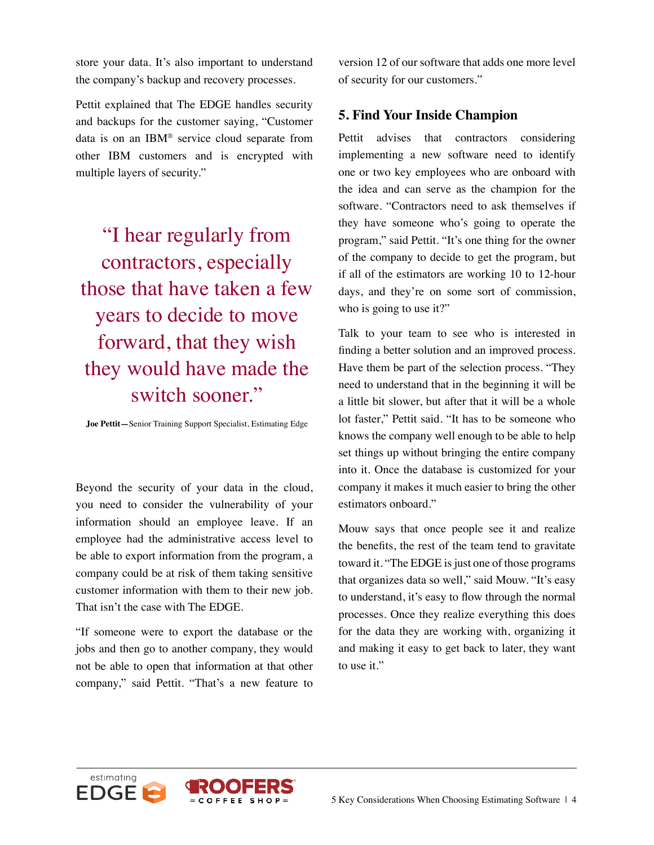store your data. It's also important to understand the company's backup and recovery processes.

Pettit explained that The EDGE handles security and backups for the customer saying, "Customer data is on an IBM® service cloud separate from other IBM customers and is encrypted with multiple layers of security."

"I hear regularly from contractors, especially those that have taken a few years to decide to move forward, that they wish they would have made the switch sooner."

**Joe Pettit—**Senior Training Support Specialist, Estimating Edge

Beyond the security of your data in the cloud, you need to consider the vulnerability of your information should an employee leave. If an employee had the administrative access level to be able to export information from the program, a company could be at risk of them taking sensitive customer information with them to their new job. That isn't the case with The EDGE.

"If someone were to export the database or the jobs and then go to another company, they would not be able to open that information at that other company," said Pettit. "That's a new feature to

version 12 of our software that adds one more level of security for our customers."

## **5. Find Your Inside Champion**

Pettit advises that contractors considering implementing a new software need to identify one or two key employees who are onboard with the idea and can serve as the champion for the software. "Contractors need to ask themselves if they have someone who's going to operate the program," said Pettit. "It's one thing for the owner of the company to decide to get the program, but if all of the estimators are working 10 to 12-hour days, and they're on some sort of commission, who is going to use it?"

Talk to your team to see who is interested in finding a better solution and an improved process. Have them be part of the selection process. "They need to understand that in the beginning it will be a little bit slower, but after that it will be a whole lot faster," Pettit said. "It has to be someone who knows the company well enough to be able to help set things up without bringing the entire company into it. Once the database is customized for your company it makes it much easier to bring the other estimators onboard."

Mouw says that once people see it and realize the benefits, the rest of the team tend to gravitate toward it. "The EDGE is just one of those programs that organizes data so well," said Mouw. "It's easy to understand, it's easy to flow through the normal processes. Once they realize everything this does for the data they are working with, organizing it and making it easy to get back to later, they want to use it."